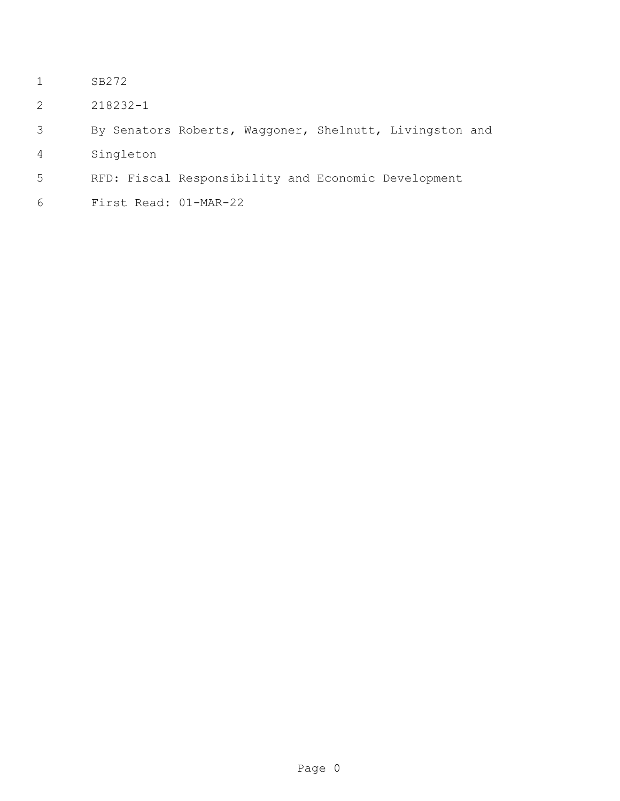- SB272
- 218232-1

```
3 By Senators Roberts, Waggoner, Shelnutt, Livingston and
```
- Singleton
- RFD: Fiscal Responsibility and Economic Development
- First Read: 01-MAR-22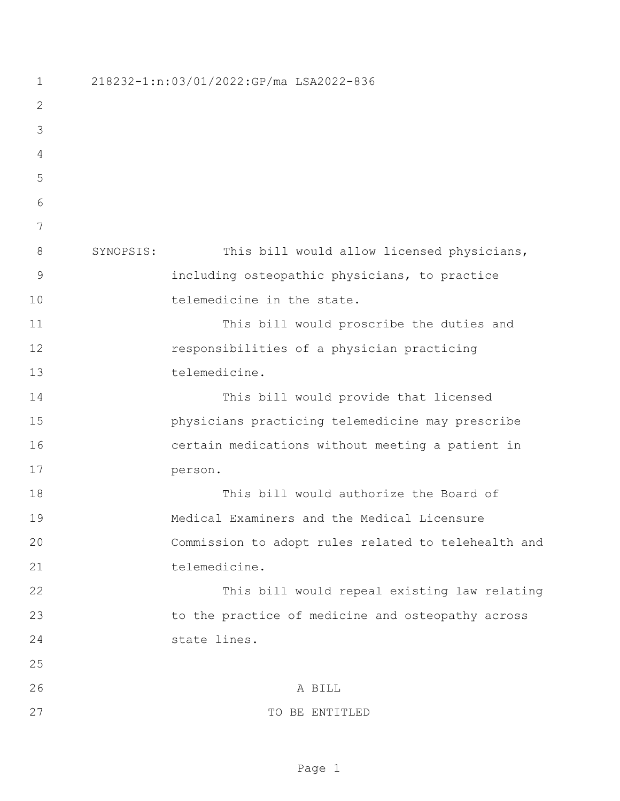| $\mathbf 1$  |           | 218232-1:n:03/01/2022:GP/ma LSA2022-836             |
|--------------|-----------|-----------------------------------------------------|
| $\mathbf{2}$ |           |                                                     |
| 3            |           |                                                     |
| 4            |           |                                                     |
| 5            |           |                                                     |
| 6            |           |                                                     |
| 7            |           |                                                     |
| 8            | SYNOPSIS: | This bill would allow licensed physicians,          |
| 9            |           | including osteopathic physicians, to practice       |
| 10           |           | telemedicine in the state.                          |
| 11           |           | This bill would proscribe the duties and            |
| 12           |           | responsibilities of a physician practicing          |
| 13           |           | telemedicine.                                       |
| 14           |           | This bill would provide that licensed               |
| 15           |           | physicians practicing telemedicine may prescribe    |
| 16           |           | certain medications without meeting a patient in    |
| 17           |           | person.                                             |
| 18           |           | This bill would authorize the Board of              |
| 19           |           | Medical Examiners and the Medical Licensure         |
| 20           |           | Commission to adopt rules related to telehealth and |
| 21           |           | telemedicine.                                       |
| 22           |           | This bill would repeal existing law relating        |
| 23           |           | to the practice of medicine and osteopathy across   |
| 24           |           | state lines.                                        |
| 25           |           |                                                     |
| 26           |           | A BILL                                              |
| 27           |           | TO BE ENTITLED                                      |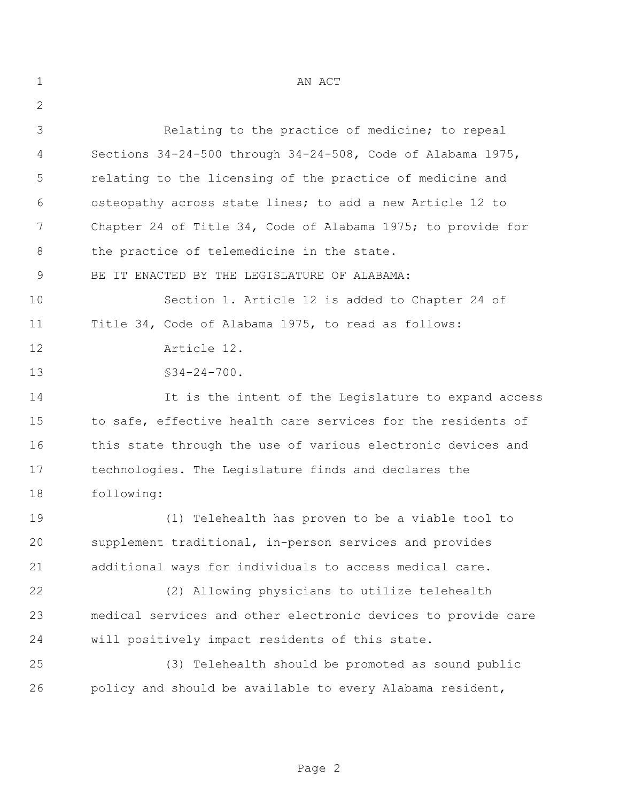| $\mathbf 1$ | AN ACT                                                        |
|-------------|---------------------------------------------------------------|
| 2           |                                                               |
| 3           | Relating to the practice of medicine; to repeal               |
| 4           | Sections 34-24-500 through 34-24-508, Code of Alabama 1975,   |
| 5           | relating to the licensing of the practice of medicine and     |
| 6           | osteopathy across state lines; to add a new Article 12 to     |
| 7           | Chapter 24 of Title 34, Code of Alabama 1975; to provide for  |
| 8           | the practice of telemedicine in the state.                    |
| 9           | BE IT ENACTED BY THE LEGISLATURE OF ALABAMA:                  |
| 10          | Section 1. Article 12 is added to Chapter 24 of               |
| 11          | Title 34, Code of Alabama 1975, to read as follows:           |
| 12          | Article 12.                                                   |
| 13          | $$34-24-700.$                                                 |
| 14          | It is the intent of the Legislature to expand access          |
| 15          | to safe, effective health care services for the residents of  |
| 16          | this state through the use of various electronic devices and  |
| 17          | technologies. The Legislature finds and declares the          |
| 18          | following:                                                    |
| 19          | (1) Telehealth has proven to be a viable tool to              |
| 20          | supplement traditional, in-person services and provides       |
| 21          | additional ways for individuals to access medical care.       |
| 22          | (2) Allowing physicians to utilize telehealth                 |
| 23          | medical services and other electronic devices to provide care |
| 24          | will positively impact residents of this state.               |
| 25          | (3) Telehealth should be promoted as sound public             |
| 26          | policy and should be available to every Alabama resident,     |
|             |                                                               |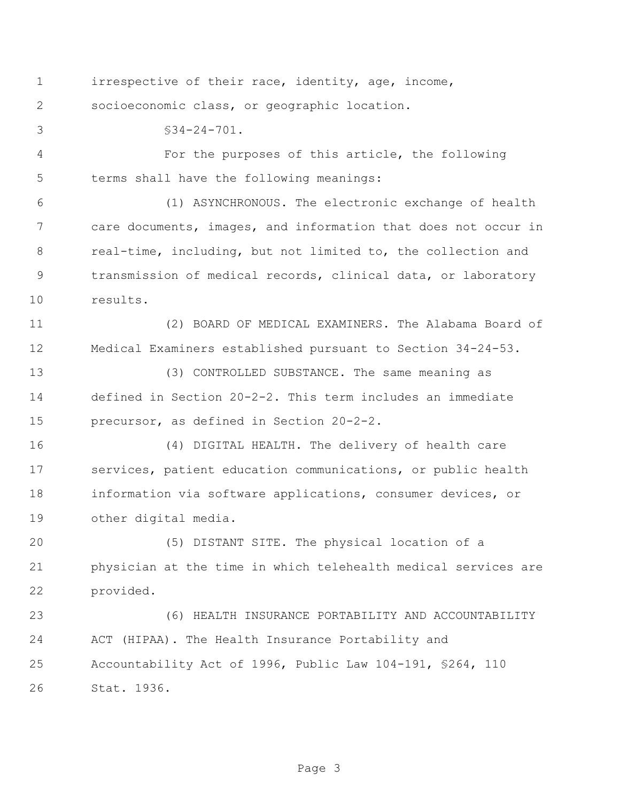irrespective of their race, identity, age, income, socioeconomic class, or geographic location.

§34-24-701.

 For the purposes of this article, the following terms shall have the following meanings:

 (1) ASYNCHRONOUS. The electronic exchange of health care documents, images, and information that does not occur in real-time, including, but not limited to, the collection and transmission of medical records, clinical data, or laboratory results.

 (2) BOARD OF MEDICAL EXAMINERS. The Alabama Board of Medical Examiners established pursuant to Section 34-24-53.

 (3) CONTROLLED SUBSTANCE. The same meaning as defined in Section 20-2-2. This term includes an immediate precursor, as defined in Section 20-2-2.

 (4) DIGITAL HEALTH. The delivery of health care services, patient education communications, or public health information via software applications, consumer devices, or other digital media.

 (5) DISTANT SITE. The physical location of a physician at the time in which telehealth medical services are provided.

 (6) HEALTH INSURANCE PORTABILITY AND ACCOUNTABILITY ACT (HIPAA). The Health Insurance Portability and Accountability Act of 1996, Public Law 104-191, §264, 110 Stat. 1936.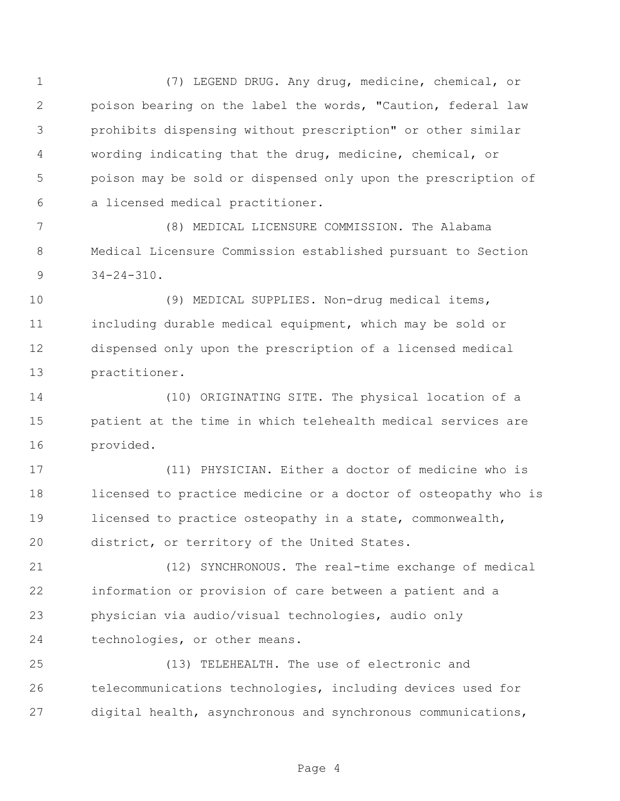(7) LEGEND DRUG. Any drug, medicine, chemical, or poison bearing on the label the words, "Caution, federal law prohibits dispensing without prescription" or other similar wording indicating that the drug, medicine, chemical, or poison may be sold or dispensed only upon the prescription of a licensed medical practitioner.

 (8) MEDICAL LICENSURE COMMISSION. The Alabama Medical Licensure Commission established pursuant to Section  $9 \t34-24-310$ .

 (9) MEDICAL SUPPLIES. Non-drug medical items, including durable medical equipment, which may be sold or dispensed only upon the prescription of a licensed medical practitioner.

 (10) ORIGINATING SITE. The physical location of a patient at the time in which telehealth medical services are provided.

 (11) PHYSICIAN. Either a doctor of medicine who is licensed to practice medicine or a doctor of osteopathy who is licensed to practice osteopathy in a state, commonwealth, district, or territory of the United States.

 (12) SYNCHRONOUS. The real-time exchange of medical information or provision of care between a patient and a physician via audio/visual technologies, audio only technologies, or other means.

 (13) TELEHEALTH. The use of electronic and telecommunications technologies, including devices used for digital health, asynchronous and synchronous communications,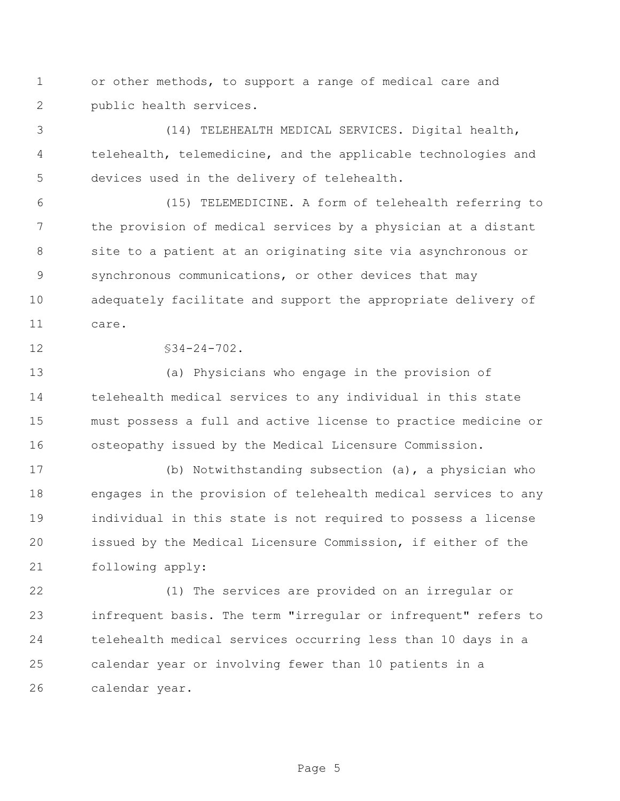or other methods, to support a range of medical care and public health services.

 (14) TELEHEALTH MEDICAL SERVICES. Digital health, telehealth, telemedicine, and the applicable technologies and devices used in the delivery of telehealth.

 (15) TELEMEDICINE. A form of telehealth referring to the provision of medical services by a physician at a distant site to a patient at an originating site via asynchronous or synchronous communications, or other devices that may adequately facilitate and support the appropriate delivery of care.

 $$34-24-702$ .

 (a) Physicians who engage in the provision of telehealth medical services to any individual in this state must possess a full and active license to practice medicine or osteopathy issued by the Medical Licensure Commission.

 (b) Notwithstanding subsection (a), a physician who engages in the provision of telehealth medical services to any individual in this state is not required to possess a license issued by the Medical Licensure Commission, if either of the following apply:

 (1) The services are provided on an irregular or infrequent basis. The term "irregular or infrequent" refers to telehealth medical services occurring less than 10 days in a calendar year or involving fewer than 10 patients in a calendar year.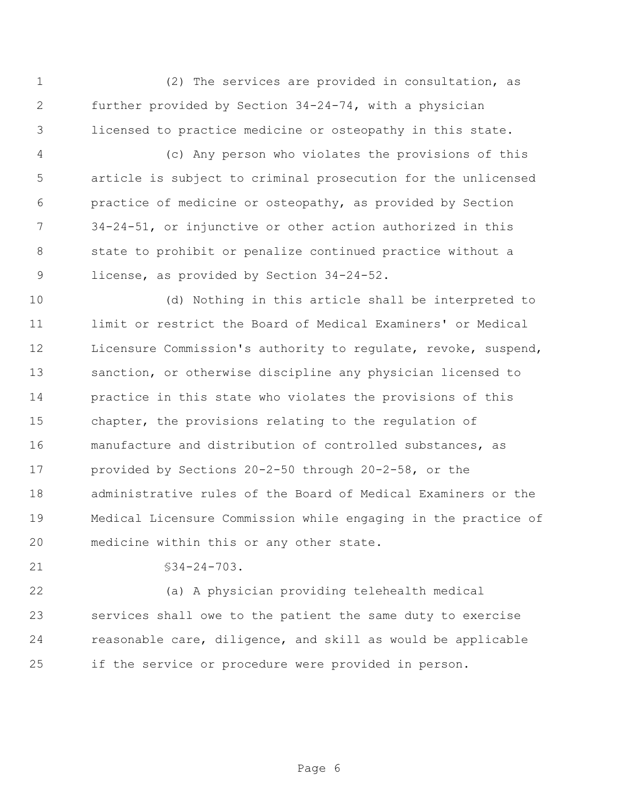(2) The services are provided in consultation, as further provided by Section 34-24-74, with a physician licensed to practice medicine or osteopathy in this state.

 (c) Any person who violates the provisions of this article is subject to criminal prosecution for the unlicensed practice of medicine or osteopathy, as provided by Section 34-24-51, or injunctive or other action authorized in this state to prohibit or penalize continued practice without a license, as provided by Section 34-24-52.

 (d) Nothing in this article shall be interpreted to limit or restrict the Board of Medical Examiners' or Medical Licensure Commission's authority to regulate, revoke, suspend, sanction, or otherwise discipline any physician licensed to practice in this state who violates the provisions of this chapter, the provisions relating to the regulation of manufacture and distribution of controlled substances, as provided by Sections 20-2-50 through 20-2-58, or the administrative rules of the Board of Medical Examiners or the Medical Licensure Commission while engaging in the practice of medicine within this or any other state.

21 §34-24-703.

 (a) A physician providing telehealth medical services shall owe to the patient the same duty to exercise reasonable care, diligence, and skill as would be applicable if the service or procedure were provided in person.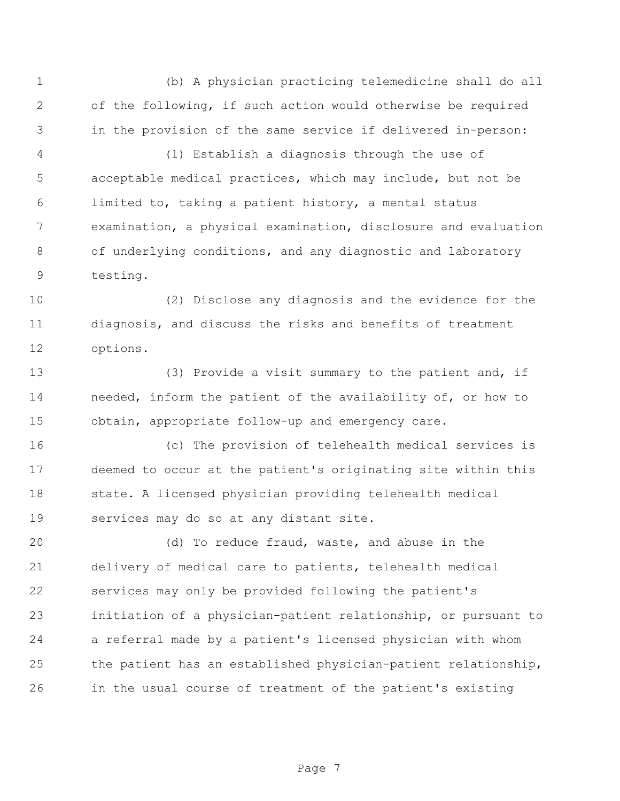(b) A physician practicing telemedicine shall do all of the following, if such action would otherwise be required in the provision of the same service if delivered in-person:

 (1) Establish a diagnosis through the use of acceptable medical practices, which may include, but not be limited to, taking a patient history, a mental status examination, a physical examination, disclosure and evaluation of underlying conditions, and any diagnostic and laboratory testing.

 (2) Disclose any diagnosis and the evidence for the diagnosis, and discuss the risks and benefits of treatment options.

 (3) Provide a visit summary to the patient and, if needed, inform the patient of the availability of, or how to obtain, appropriate follow-up and emergency care.

 (c) The provision of telehealth medical services is deemed to occur at the patient's originating site within this state. A licensed physician providing telehealth medical services may do so at any distant site.

 (d) To reduce fraud, waste, and abuse in the delivery of medical care to patients, telehealth medical services may only be provided following the patient's initiation of a physician-patient relationship, or pursuant to a referral made by a patient's licensed physician with whom the patient has an established physician-patient relationship, in the usual course of treatment of the patient's existing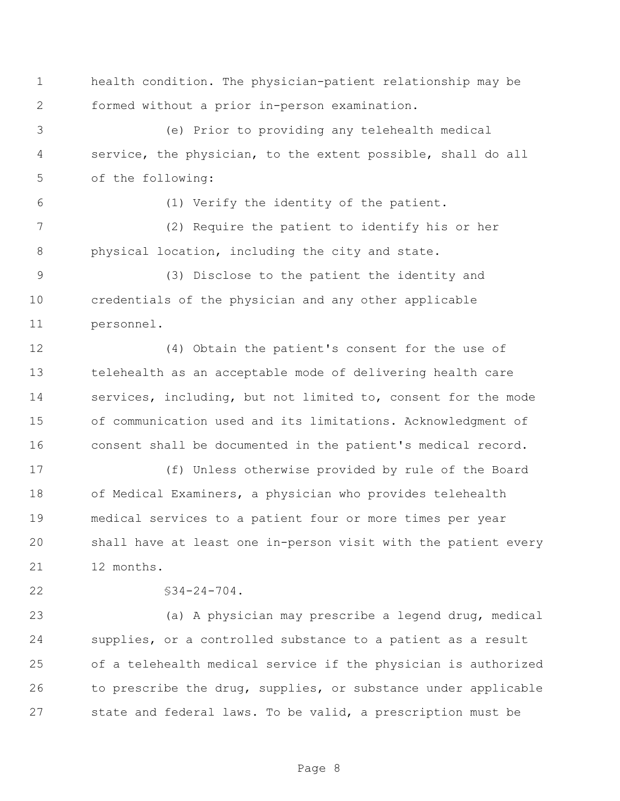health condition. The physician-patient relationship may be formed without a prior in-person examination.

 (e) Prior to providing any telehealth medical service, the physician, to the extent possible, shall do all of the following:

(1) Verify the identity of the patient.

 (2) Require the patient to identify his or her physical location, including the city and state.

 (3) Disclose to the patient the identity and credentials of the physician and any other applicable personnel.

 (4) Obtain the patient's consent for the use of telehealth as an acceptable mode of delivering health care services, including, but not limited to, consent for the mode of communication used and its limitations. Acknowledgment of consent shall be documented in the patient's medical record.

 (f) Unless otherwise provided by rule of the Board of Medical Examiners, a physician who provides telehealth medical services to a patient four or more times per year shall have at least one in-person visit with the patient every 12 months.

 $$34-24-704$ .

 (a) A physician may prescribe a legend drug, medical supplies, or a controlled substance to a patient as a result of a telehealth medical service if the physician is authorized to prescribe the drug, supplies, or substance under applicable state and federal laws. To be valid, a prescription must be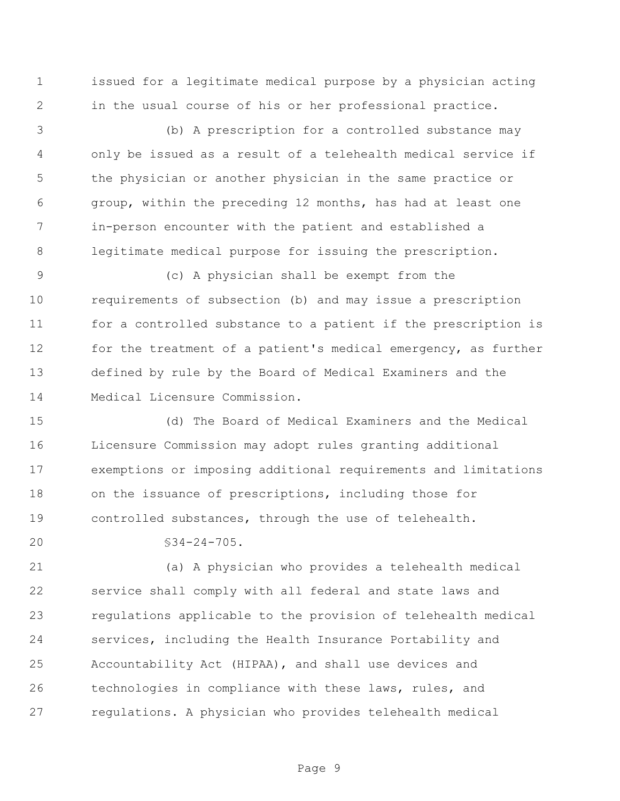issued for a legitimate medical purpose by a physician acting in the usual course of his or her professional practice.

 (b) A prescription for a controlled substance may only be issued as a result of a telehealth medical service if the physician or another physician in the same practice or group, within the preceding 12 months, has had at least one in-person encounter with the patient and established a legitimate medical purpose for issuing the prescription.

 (c) A physician shall be exempt from the requirements of subsection (b) and may issue a prescription for a controlled substance to a patient if the prescription is for the treatment of a patient's medical emergency, as further defined by rule by the Board of Medical Examiners and the Medical Licensure Commission.

 (d) The Board of Medical Examiners and the Medical Licensure Commission may adopt rules granting additional exemptions or imposing additional requirements and limitations on the issuance of prescriptions, including those for controlled substances, through the use of telehealth.

 $20 \,$   $\sqrt{34-24-705}$ .

 (a) A physician who provides a telehealth medical service shall comply with all federal and state laws and regulations applicable to the provision of telehealth medical services, including the Health Insurance Portability and Accountability Act (HIPAA), and shall use devices and technologies in compliance with these laws, rules, and regulations. A physician who provides telehealth medical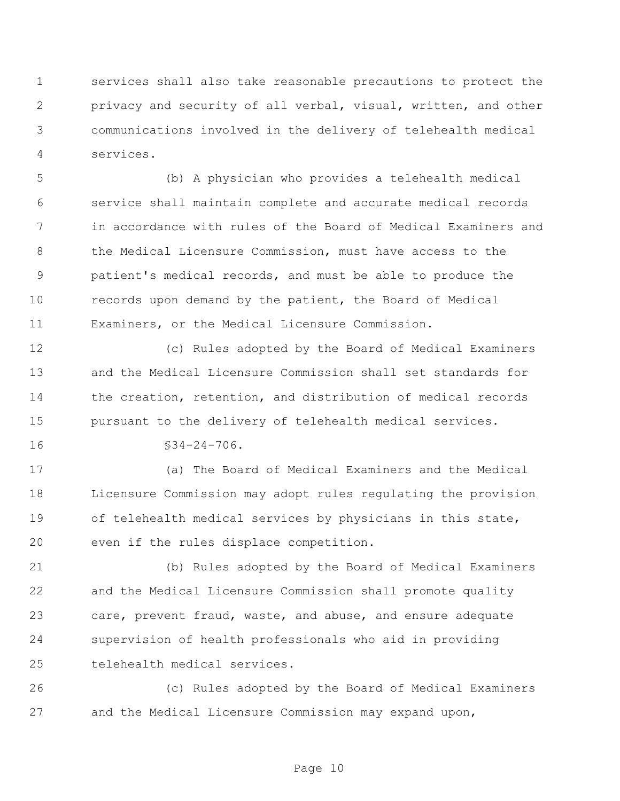services shall also take reasonable precautions to protect the privacy and security of all verbal, visual, written, and other communications involved in the delivery of telehealth medical services.

 (b) A physician who provides a telehealth medical service shall maintain complete and accurate medical records in accordance with rules of the Board of Medical Examiners and the Medical Licensure Commission, must have access to the patient's medical records, and must be able to produce the records upon demand by the patient, the Board of Medical Examiners, or the Medical Licensure Commission.

 (c) Rules adopted by the Board of Medical Examiners and the Medical Licensure Commission shall set standards for the creation, retention, and distribution of medical records pursuant to the delivery of telehealth medical services.

§34-24-706.

 (a) The Board of Medical Examiners and the Medical Licensure Commission may adopt rules regulating the provision of telehealth medical services by physicians in this state, even if the rules displace competition.

 (b) Rules adopted by the Board of Medical Examiners and the Medical Licensure Commission shall promote quality care, prevent fraud, waste, and abuse, and ensure adequate supervision of health professionals who aid in providing telehealth medical services.

 (c) Rules adopted by the Board of Medical Examiners and the Medical Licensure Commission may expand upon,